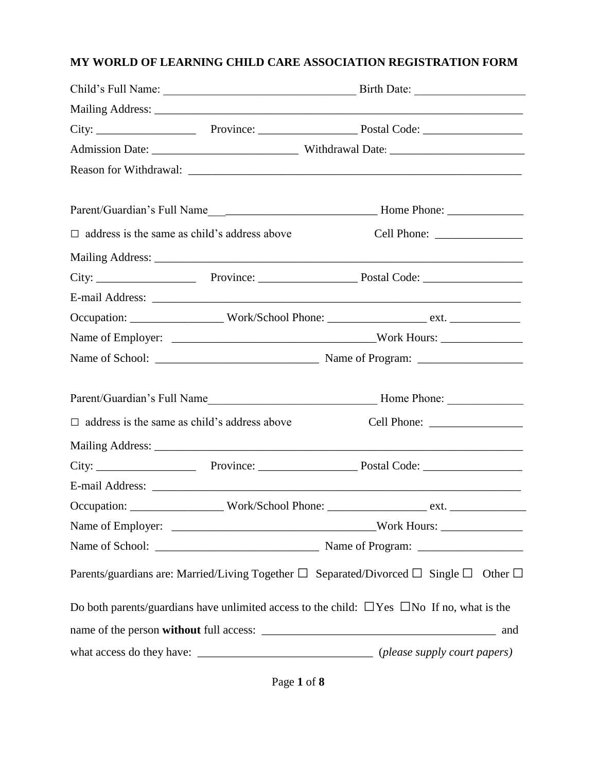# **MY WORLD OF LEARNING CHILD CARE ASSOCIATION REGISTRATION FORM**

| $\Box$ address is the same as child's address above |                                                                                                            |
|-----------------------------------------------------|------------------------------------------------------------------------------------------------------------|
|                                                     |                                                                                                            |
|                                                     |                                                                                                            |
|                                                     |                                                                                                            |
|                                                     |                                                                                                            |
|                                                     |                                                                                                            |
|                                                     |                                                                                                            |
|                                                     |                                                                                                            |
| $\Box$ address is the same as child's address above |                                                                                                            |
|                                                     |                                                                                                            |
|                                                     |                                                                                                            |
|                                                     |                                                                                                            |
|                                                     |                                                                                                            |
|                                                     |                                                                                                            |
|                                                     |                                                                                                            |
|                                                     | Parents/guardians are: Married/Living Together $\Box$ Separated/Divorced $\Box$ Single $\Box$ Other $\Box$ |
|                                                     | Do both parents/guardians have unlimited access to the child: $\Box$ Yes $\Box$ No If no, what is the      |
|                                                     |                                                                                                            |
|                                                     |                                                                                                            |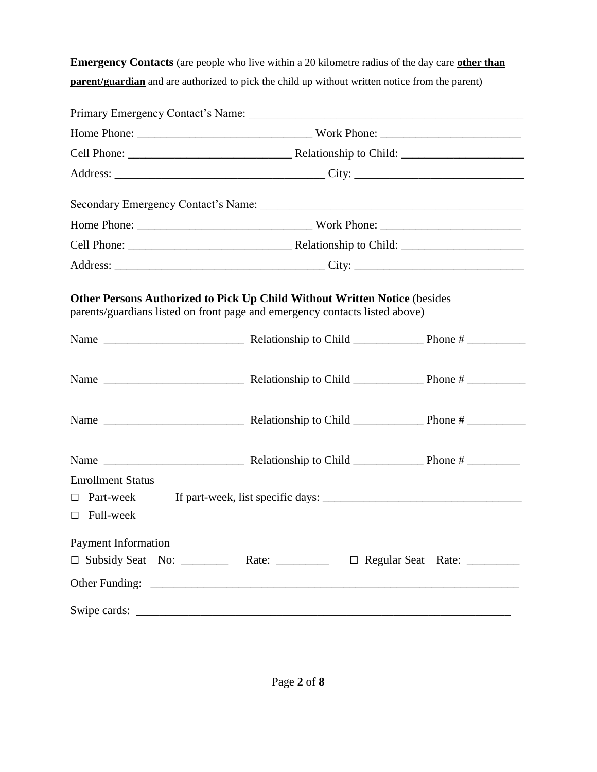**Emergency Contacts** (are people who live within a 20 kilometre radius of the day care **other than parent/guardian** and are authorized to pick the child up without written notice from the parent)

|                          |  | Other Persons Authorized to Pick Up Child Without Written Notice (besides<br>parents/guardians listed on front page and emergency contacts listed above) |  |  |
|--------------------------|--|----------------------------------------------------------------------------------------------------------------------------------------------------------|--|--|
|                          |  |                                                                                                                                                          |  |  |
|                          |  |                                                                                                                                                          |  |  |
|                          |  |                                                                                                                                                          |  |  |
| <b>Enrollment Status</b> |  |                                                                                                                                                          |  |  |
| $\Box$ Part-week         |  |                                                                                                                                                          |  |  |
| $\Box$ Full-week         |  |                                                                                                                                                          |  |  |
| Payment Information      |  | □ Subsidy Seat No: __________ Rate: ___________ □ Regular Seat Rate: _________                                                                           |  |  |
|                          |  |                                                                                                                                                          |  |  |
|                          |  |                                                                                                                                                          |  |  |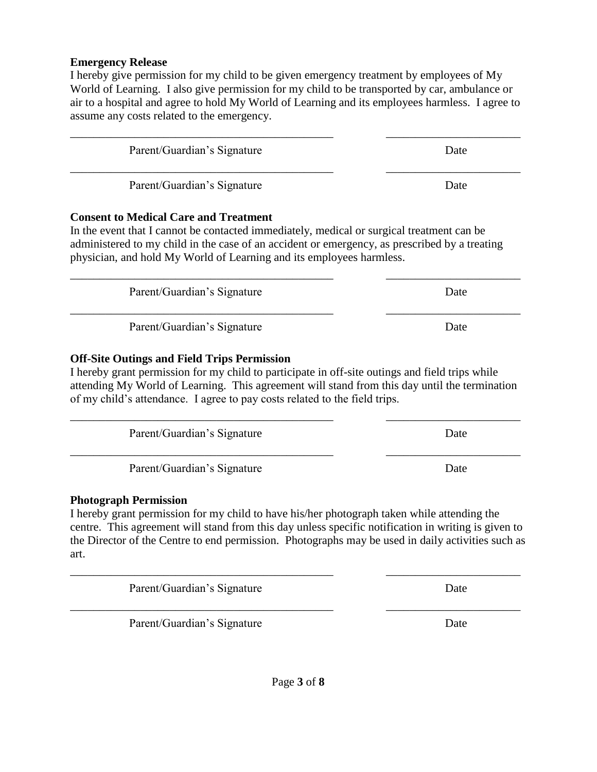#### **Emergency Release**

I hereby give permission for my child to be given emergency treatment by employees of My World of Learning. I also give permission for my child to be transported by car, ambulance or air to a hospital and agree to hold My World of Learning and its employees harmless. I agree to assume any costs related to the emergency.

\_\_\_\_\_\_\_\_\_\_\_\_\_\_\_\_\_\_\_\_\_\_\_\_\_\_\_\_\_\_\_\_\_\_\_\_\_\_\_\_\_\_\_\_\_ \_\_\_\_\_\_\_\_\_\_\_\_\_\_\_\_\_\_\_\_\_\_\_ Parent/Guardian's Signature Date \_\_\_\_\_\_\_\_\_\_\_\_\_\_\_\_\_\_\_\_\_\_\_\_\_\_\_\_\_\_\_\_\_\_\_\_\_\_\_\_\_\_\_\_\_ \_\_\_\_\_\_\_\_\_\_\_\_\_\_\_\_\_\_\_\_\_\_\_ Parent/Guardian's Signature Date **Consent to Medical Care and Treatment** In the event that I cannot be contacted immediately, medical or surgical treatment can be administered to my child in the case of an accident or emergency, as prescribed by a treating physician, and hold My World of Learning and its employees harmless. \_\_\_\_\_\_\_\_\_\_\_\_\_\_\_\_\_\_\_\_\_\_\_\_\_\_\_\_\_\_\_\_\_\_\_\_\_\_\_\_\_\_\_\_\_ \_\_\_\_\_\_\_\_\_\_\_\_\_\_\_\_\_\_\_\_\_\_\_ Parent/Guardian's Signature Date \_\_\_\_\_\_\_\_\_\_\_\_\_\_\_\_\_\_\_\_\_\_\_\_\_\_\_\_\_\_\_\_\_\_\_\_\_\_\_\_\_\_\_\_\_ \_\_\_\_\_\_\_\_\_\_\_\_\_\_\_\_\_\_\_\_\_\_\_ Parent/Guardian's Signature Date **Off-Site Outings and Field Trips Permission** I hereby grant permission for my child to participate in off-site outings and field trips while attending My World of Learning. This agreement will stand from this day until the termination of my child's attendance. I agree to pay costs related to the field trips. \_\_\_\_\_\_\_\_\_\_\_\_\_\_\_\_\_\_\_\_\_\_\_\_\_\_\_\_\_\_\_\_\_\_\_\_\_\_\_\_\_\_\_\_\_ \_\_\_\_\_\_\_\_\_\_\_\_\_\_\_\_\_\_\_\_\_\_\_ Parent/Guardian's Signature Date \_\_\_\_\_\_\_\_\_\_\_\_\_\_\_\_\_\_\_\_\_\_\_\_\_\_\_\_\_\_\_\_\_\_\_\_\_\_\_\_\_\_\_\_\_ \_\_\_\_\_\_\_\_\_\_\_\_\_\_\_\_\_\_\_\_\_\_\_ Parent/Guardian's Signature Date

#### **Photograph Permission**

I hereby grant permission for my child to have his/her photograph taken while attending the centre. This agreement will stand from this day unless specific notification in writing is given to the Director of the Centre to end permission. Photographs may be used in daily activities such as art.

\_\_\_\_\_\_\_\_\_\_\_\_\_\_\_\_\_\_\_\_\_\_\_\_\_\_\_\_\_\_\_\_\_\_\_\_\_\_\_\_\_\_\_\_\_ \_\_\_\_\_\_\_\_\_\_\_\_\_\_\_\_\_\_\_\_\_\_\_

Parent/Guardian's Signature Date

Parent/Guardian's Signature Date

\_\_\_\_\_\_\_\_\_\_\_\_\_\_\_\_\_\_\_\_\_\_\_\_\_\_\_\_\_\_\_\_\_\_\_\_\_\_\_\_\_\_\_\_\_ \_\_\_\_\_\_\_\_\_\_\_\_\_\_\_\_\_\_\_\_\_\_\_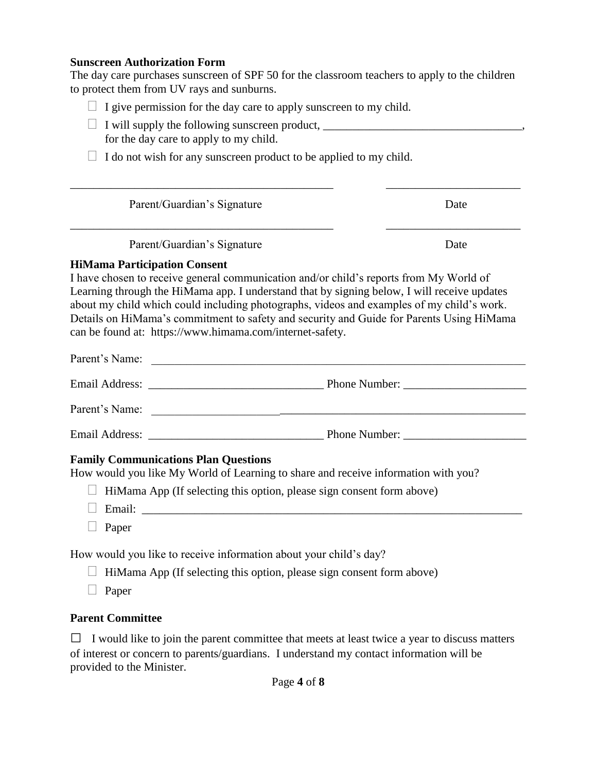#### **Sunscreen Authorization Form**

The day care purchases sunscreen of SPF 50 for the classroom teachers to apply to the children to protect them from UV rays and sunburns.

|  | $\Box$ I give permission for the day care to apply sunscreen to my child. |  |  |  |
|--|---------------------------------------------------------------------------|--|--|--|
|  |                                                                           |  |  |  |
|  |                                                                           |  |  |  |
|  |                                                                           |  |  |  |

- $\Box$  I will supply the following sunscreen product,  $\Box$ for the day care to apply to my child.
- $\Box$  I do not wish for any sunscreen product to be applied to my child.

| Parent/Guardian's Signature | Date |
|-----------------------------|------|
| Parent/Guardian's Signature | Date |

\_\_\_\_\_\_\_\_\_\_\_\_\_\_\_\_\_\_\_\_\_\_\_\_\_\_\_\_\_\_\_\_\_\_\_\_\_\_\_\_\_\_\_\_\_ \_\_\_\_\_\_\_\_\_\_\_\_\_\_\_\_\_\_\_\_\_\_\_

#### **HiMama Participation Consent**

I have chosen to receive general communication and/or child's reports from My World of Learning through the HiMama app. I understand that by signing below, I will receive updates about my child which could including photographs, videos and examples of my child's work. Details on HiMama's commitment to safety and security and Guide for Parents Using HiMama can be found at: [https://www.himama.com/internet-safety.](https://www.himama.com/internet-safety)

| Parent's Name: | <u> 1989 - Johann Stoff, deutscher Stoff, der Stoff, der Stoff, der Stoff, der Stoff, der Stoff, der Stoff, der S</u> |
|----------------|-----------------------------------------------------------------------------------------------------------------------|
|                |                                                                                                                       |
| Parent's Name: |                                                                                                                       |
|                |                                                                                                                       |

### **Family Communications Plan Questions**

How would you like My World of Learning to share and receive information with you?

- $\Box$  HiMama App (If selecting this option, please sign consent form above)
- Email: \_\_\_\_\_\_\_\_\_\_\_\_\_\_\_\_\_\_\_\_\_\_\_\_\_\_\_\_\_\_\_\_\_\_\_\_\_\_\_\_\_\_\_\_\_\_\_\_\_\_\_\_\_\_\_\_\_\_\_\_\_\_\_\_\_
- $\Box$  Paper

How would you like to receive information about your child's day?

- $\Box$  HiMama App (If selecting this option, please sign consent form above)
- $\Box$  Paper

### **Parent Committee**

 $\Box$  I would like to join the parent committee that meets at least twice a year to discuss matters of interest or concern to parents/guardians. I understand my contact information will be provided to the Minister.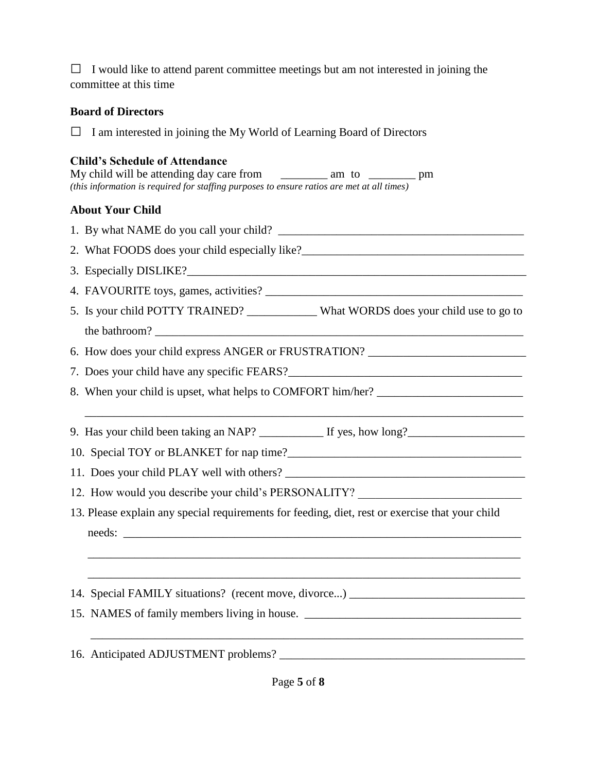$\Box$  I would like to attend parent committee meetings but am not interested in joining the committee at this time

### **Board of Directors**

□ I am interested in joining the My World of Learning Board of Directors

# **Child's Schedule of Attendance**

| My child will be attending day care from                                                   | am to | pm |
|--------------------------------------------------------------------------------------------|-------|----|
| (this information is required for staffing purposes to ensure ratios are met at all times) |       |    |

## **About Your Child**

| 3. Especially DISLIKE?                                                                          |
|-------------------------------------------------------------------------------------------------|
|                                                                                                 |
| 5. Is your child POTTY TRAINED? __________ What WORDS does your child use to go to              |
|                                                                                                 |
| 6. How does your child express ANGER or FRUSTRATION? ___________________________                |
|                                                                                                 |
| 8. When your child is upset, what helps to COMFORT him/her?                                     |
|                                                                                                 |
| 9. Has your child been taking an NAP? ____________ If yes, how long?_____________               |
|                                                                                                 |
|                                                                                                 |
| 12. How would you describe your child's PERSONALITY?                                            |
| 13. Please explain any special requirements for feeding, diet, rest or exercise that your child |
|                                                                                                 |
|                                                                                                 |
|                                                                                                 |
| 14. Special FAMILY situations? (recent move, divorce) _______________________                   |
| 15. NAMES of family members living in house. ___________________________________                |
|                                                                                                 |
|                                                                                                 |
|                                                                                                 |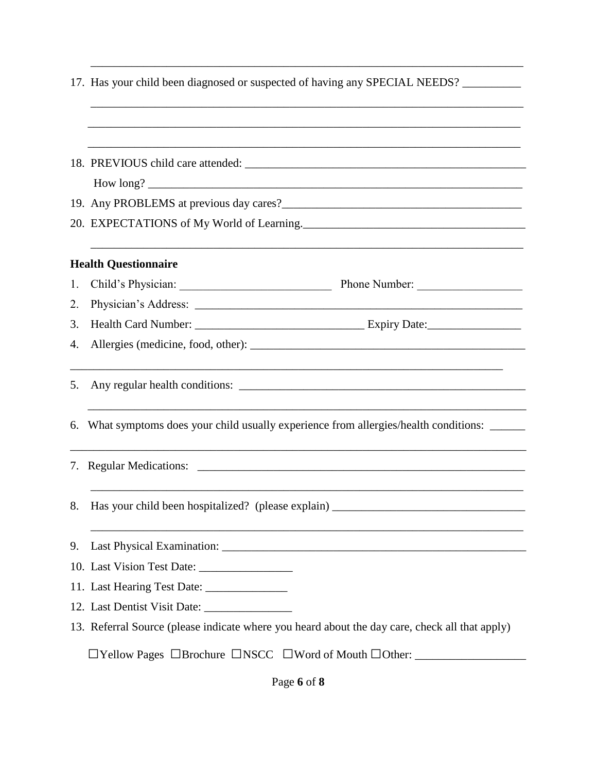|    | 17. Has your child been diagnosed or suspected of having any SPECIAL NEEDS?                                                                                                                                                            |  |  |  |
|----|----------------------------------------------------------------------------------------------------------------------------------------------------------------------------------------------------------------------------------------|--|--|--|
|    |                                                                                                                                                                                                                                        |  |  |  |
|    |                                                                                                                                                                                                                                        |  |  |  |
|    |                                                                                                                                                                                                                                        |  |  |  |
|    |                                                                                                                                                                                                                                        |  |  |  |
|    | 19. Any PROBLEMS at previous day cares?<br><u>Letter and the contract of the set of the set of the set of the set of the set of the set of the set of the set of the set of the set of the set of the set of the set of the set of</u> |  |  |  |
|    | 20. EXPECTATIONS of My World of Learning.                                                                                                                                                                                              |  |  |  |
|    | <b>Health Questionnaire</b>                                                                                                                                                                                                            |  |  |  |
| 1. | Child's Physician: Phone Number:                                                                                                                                                                                                       |  |  |  |
| 2. |                                                                                                                                                                                                                                        |  |  |  |
| 3. |                                                                                                                                                                                                                                        |  |  |  |
| 4. |                                                                                                                                                                                                                                        |  |  |  |
| 5. | <u> 1989 - Johann Stoff, amerikansk politiker (* 1908)</u>                                                                                                                                                                             |  |  |  |
|    | 6. What symptoms does your child usually experience from allergies/health conditions: _____                                                                                                                                            |  |  |  |
|    |                                                                                                                                                                                                                                        |  |  |  |
| 8. | Has your child been hospitalized? (please explain) ______________________________                                                                                                                                                      |  |  |  |
| 9. |                                                                                                                                                                                                                                        |  |  |  |
|    | 10. Last Vision Test Date:                                                                                                                                                                                                             |  |  |  |
|    |                                                                                                                                                                                                                                        |  |  |  |
|    |                                                                                                                                                                                                                                        |  |  |  |
|    | 13. Referral Source (please indicate where you heard about the day care, check all that apply)                                                                                                                                         |  |  |  |
|    | <b>The Proper SE IS INSOCET IS NOT A SET IS NOT A SET ASSET SET IS NOT A SET ALLOCATE:</b>                                                                                                                                             |  |  |  |

\_\_\_\_\_\_\_\_\_\_\_\_\_\_\_\_\_\_\_\_\_\_\_\_\_\_\_\_\_\_\_\_\_\_\_\_\_\_\_\_\_\_\_\_\_\_\_\_\_\_\_\_\_\_\_\_\_\_\_\_\_\_\_\_\_\_\_\_\_\_\_\_\_\_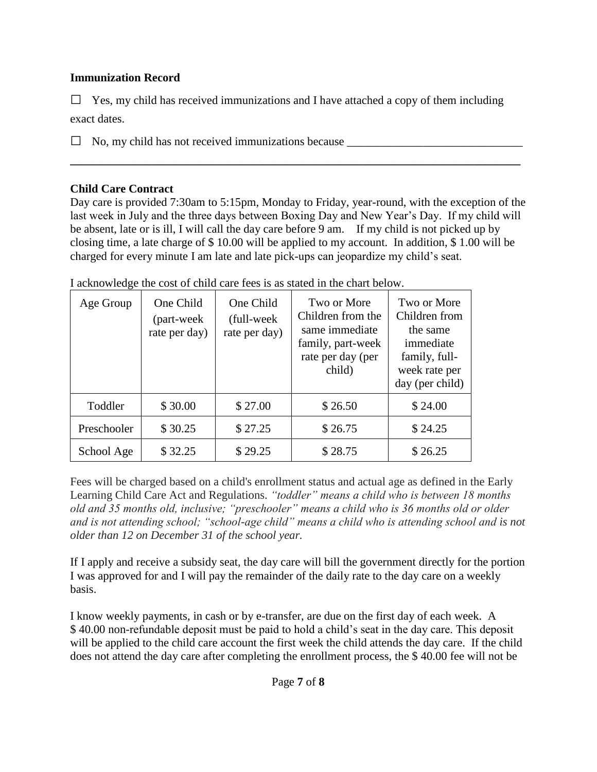## **Immunization Record**

 $\Box$  Yes, my child has received immunizations and I have attached a copy of them including exact dates.

 $\Box$  No, my child has not received immunizations because

### **Child Care Contract**

Day care is provided 7:30am to 5:15pm, Monday to Friday, year-round, with the exception of the last week in July and the three days between Boxing Day and New Year's Day. If my child will be absent, late or is ill, I will call the day care before 9 am. If my child is not picked up by closing time, a late charge of \$ 10.00 will be applied to my account. In addition, \$ 1.00 will be charged for every minute I am late and late pick-ups can jeopardize my child's seat.

**\_\_\_\_\_\_\_\_\_\_\_\_\_\_\_\_\_\_\_\_\_\_\_\_\_\_\_\_\_\_\_\_\_\_\_\_\_\_\_\_\_\_\_\_\_\_\_\_\_\_\_\_\_\_\_\_\_\_\_\_\_\_\_\_\_\_\_\_\_\_\_\_\_\_\_\_\_**

| Age Group   | One Child<br>(part-week<br>rate per day) | One Child<br>(full-week)<br>rate per day) | Two or More<br>Children from the<br>same immediate<br>family, part-week<br>rate per day (per<br>child) | Two or More<br>Children from<br>the same<br>immediate<br>family, full-<br>week rate per<br>day (per child) |
|-------------|------------------------------------------|-------------------------------------------|--------------------------------------------------------------------------------------------------------|------------------------------------------------------------------------------------------------------------|
| Toddler     | \$30.00                                  | \$27.00                                   | \$26.50                                                                                                | \$24.00                                                                                                    |
| Preschooler | \$30.25                                  | \$27.25                                   | \$26.75                                                                                                | \$24.25                                                                                                    |
| School Age  | \$32.25                                  | \$29.25                                   | \$28.75                                                                                                | \$26.25                                                                                                    |

I acknowledge the cost of child care fees is as stated in the chart below.

Fees will be charged based on a child's enrollment status and actual age as defined in the Early Learning Child Care Act and Regulations. *"toddler" means a child who is between 18 months old and 35 months old, inclusive; "preschooler" means a child who is 36 months old or older and is not attending school; "school-age child" means a child who is attending school and is not older than 12 on December 31 of the school year.*

If I apply and receive a subsidy seat, the day care will bill the government directly for the portion I was approved for and I will pay the remainder of the daily rate to the day care on a weekly basis.

I know weekly payments, in cash or by e-transfer, are due on the first day of each week. A \$ 40.00 non-refundable deposit must be paid to hold a child's seat in the day care. This deposit will be applied to the child care account the first week the child attends the day care. If the child does not attend the day care after completing the enrollment process, the \$ 40.00 fee will not be